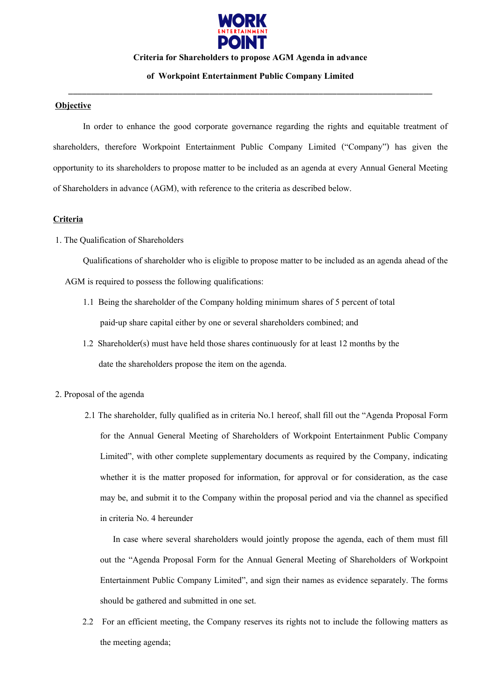

#### **Criteria for Shareholders to propose AGM Agenda in advance**

# **of Workpoint Entertainment Public Company Limited** \_\_\_\_\_\_\_\_\_\_\_\_\_\_\_\_\_\_\_\_\_\_\_\_\_\_\_\_\_\_\_\_\_\_\_\_\_\_\_\_\_\_\_\_\_\_\_\_\_\_\_\_\_\_\_\_\_\_\_\_\_\_\_\_\_\_\_\_\_\_\_\_\_\_\_\_\_\_\_\_

### **Objective**

In order to enhance the good corporate governance regarding the rights and equitable treatment of shareholders, therefore Workpoint Entertainment Public Company Limited ("Company") has given the opportunity to its shareholders to propose matter to be included as an agenda at every Annual General Meeting of Shareholders in advance (AGM), with reference to the criteria as described below.

#### **Criteria**

### 1. The Qualification of Shareholders

Qualifications of shareholder who is eligible to propose matter to be included as an agenda ahead of the

AGM is required to possess the following qualifications:

- 1.1 Being the shareholder of the Company holding minimum shares of 5 percent of total paid-up share capital either by one or several shareholders combined; and
- 1.2 Shareholder(s) must have held those shares continuously for at least 12 months by the date the shareholders propose the item on the agenda.
- 2. Proposal of the agenda
	- 2.1 The shareholder, fully qualified as in criteria No.1 hereof, shall fill out the "Agenda Proposal Form for the Annual General Meeting of Shareholders of Workpoint Entertainment Public Company Limited", with other complete supplementary documents as required by the Company, indicating whether it is the matter proposed for information, for approval or for consideration, as the case may be, and submit it to the Company within the proposal period and via the channel as specified in criteria No. 4 hereunder

In case where several shareholders would jointly propose the agenda, each of them must fill out the "Agenda Proposal Form for the Annual General Meeting of Shareholders of Workpoint Entertainment Public Company Limited", and sign their names as evidence separately. The forms should be gathered and submitted in one set.

2.2 For an efficient meeting, the Company reserves its rights not to include the following matters as the meeting agenda;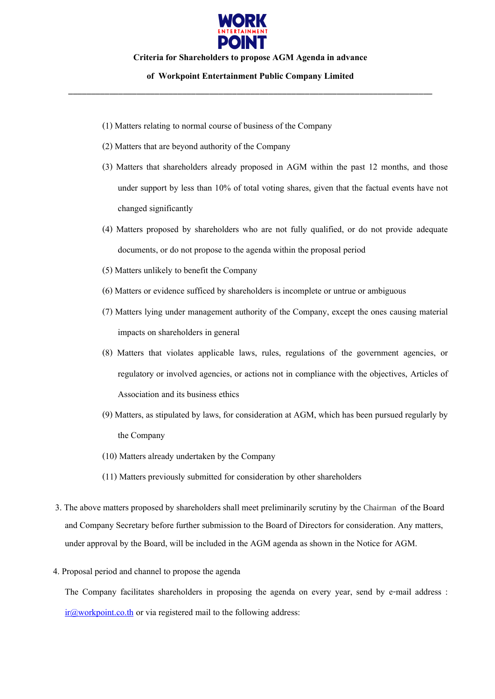

#### **Criteria for Shareholders to propose AGM Agenda in advance**

# **of Workpoint Entertainment Public Company Limited** \_\_\_\_\_\_\_\_\_\_\_\_\_\_\_\_\_\_\_\_\_\_\_\_\_\_\_\_\_\_\_\_\_\_\_\_\_\_\_\_\_\_\_\_\_\_\_\_\_\_\_\_\_\_\_\_\_\_\_\_\_\_\_\_\_\_\_\_\_\_\_\_\_\_\_\_\_\_\_\_

- (1) Matters relating to normal course of business of the Company
- (2) Matters that are beyond authority of the Company
- (3) Matters that shareholders already proposed in AGM within the past 12 months, and those under support by less than 10% of total voting shares, given that the factual events have not changed significantly
- (4) Matters proposed by shareholders who are not fully qualified, or do not provide adequate documents, or do not propose to the agenda within the proposal period
- (5) Matters unlikely to benefit the Company
- (6) Matters or evidence sufficed by shareholders is incomplete or untrue or ambiguous
- (7) Matters lying under management authority of the Company, except the ones causing material impacts on shareholders in general
- (8) Matters that violates applicable laws, rules, regulations of the government agencies, or regulatory or involved agencies, or actions not in compliance with the objectives, Articles of Association and its business ethics
- (9) Matters, as stipulated by laws, for consideration at AGM, which has been pursued regularly by the Company
- (10) Matters already undertaken by the Company
- (11) Matters previously submitted for consideration by other shareholders
- 3. The above matters proposed by shareholders shall meet preliminarily scrutiny by the Chairman of the Board and Company Secretary before further submission to the Board of Directors for consideration. Any matters, under approval by the Board, will be included in the AGM agenda as shown in the Notice for AGM.
- 4. Proposal period and channel to propose the agenda

The Company facilitates shareholders in proposing the agenda on every year, send by e-mail address : [ir@workpoint.co.th](mailto:ir@workpoint.co.th) or via registered mail to the following address: